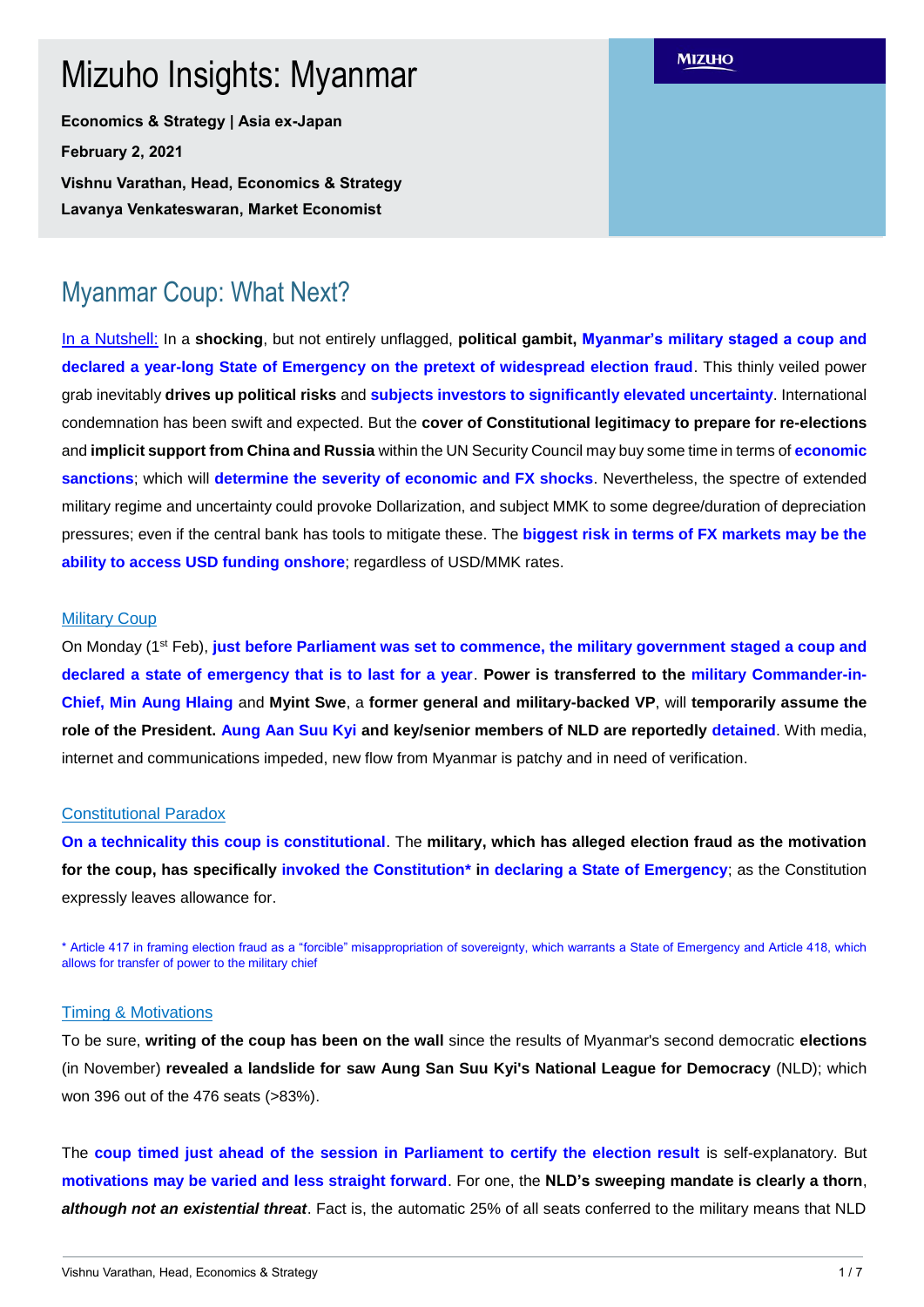# Mizuho Insights: Myanmar

**Economics & Strategy | Asia ex-Japan February 2, 2021 Vishnu Varathan, Head, Economics & Strategy** 

**Lavanya Venkateswaran, Market Economist**

# Myanmar Coup: What Next?

In a Nutshell: In a **shocking**, but not entirely unflagged, **political gambit, Myanmar's military staged a coup and declared a year-long State of Emergency on the pretext of widespread election fraud**. This thinly veiled power grab inevitably **drives up political risks** and **subjects investors to significantly elevated uncertainty**. International condemnation has been swift and expected. But the **cover of Constitutional legitimacy to prepare for re-elections** and **implicit support from China and Russia** within the UN Security Council may buy some time in terms of **economic sanctions**; which will **determine the severity of economic and FX shocks**. Nevertheless, the spectre of extended military regime and uncertainty could provoke Dollarization, and subject MMK to some degree/duration of depreciation pressures; even if the central bank has tools to mitigate these. The **biggest risk in terms of FX markets may be the ability to access USD funding onshore**; regardless of USD/MMK rates.

### **Military Coup**

On Monday (1st Feb), **just before Parliament was set to commence, the military government staged a coup and declared a state of emergency that is to last for a year**. **Power is transferred to the military Commander-in-Chief, Min Aung Hlaing** and **Myint Swe**, a **former general and military-backed VP**, will **temporarily assume the role of the President. Aung Aan Suu Kyi and key/senior members of NLD are reportedly detained**. With media, internet and communications impeded, new flow from Myanmar is patchy and in need of verification.

### Constitutional Paradox

**On a technicality this coup is constitutional**. The **military, which has alleged election fraud as the motivation for the coup, has specifically invoked the Constitution\* in declaring a State of Emergency**; as the Constitution expressly leaves allowance for.

\* Article 417 in framing election fraud as a "forcible" misappropriation of sovereignty, which warrants a State of Emergency and Article 418, which allows for transfer of power to the military chief

#### Timing & Motivations

To be sure, **writing of the coup has been on the wall** since the results of Myanmar's second democratic **elections** (in November) **revealed a landslide for saw Aung San Suu Kyi's National League for Democracy** (NLD); which won 396 out of the 476 seats (>83%).

The **coup timed just ahead of the session in Parliament to certify the election result** is self-explanatory. But **motivations may be varied and less straight forward**. For one, the **NLD's sweeping mandate is clearly a thorn**, *although not an existential threat*. Fact is, the automatic 25% of all seats conferred to the military means that NLD

**MIZUHO**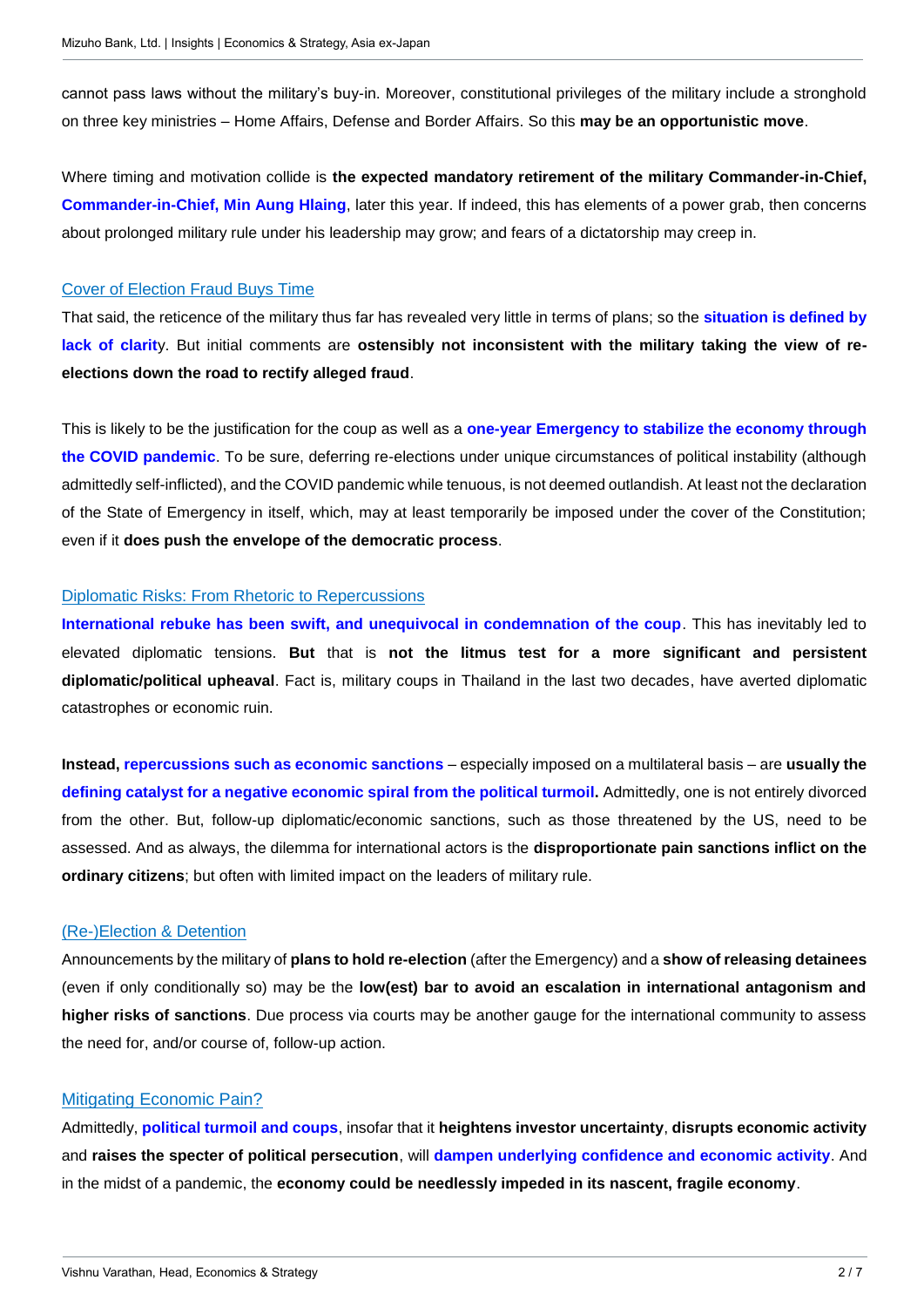cannot pass laws without the military's buy-in. Moreover, constitutional privileges of the military include a stronghold on three key ministries – Home Affairs, Defense and Border Affairs. So this **may be an opportunistic move**.

Where timing and motivation collide is **the expected mandatory retirement of the military Commander-in-Chief, Commander-in-Chief, Min Aung Hlaing**, later this year. If indeed, this has elements of a power grab, then concerns about prolonged military rule under his leadership may grow; and fears of a dictatorship may creep in.

### Cover of Election Fraud Buys Time

That said, the reticence of the military thus far has revealed very little in terms of plans; so the **situation is defined by lack of clarit**y. But initial comments are **ostensibly not inconsistent with the military taking the view of reelections down the road to rectify alleged fraud**.

This is likely to be the justification for the coup as well as a **one-year Emergency to stabilize the economy through the COVID pandemic**. To be sure, deferring re-elections under unique circumstances of political instability (although admittedly self-inflicted), and the COVID pandemic while tenuous, is not deemed outlandish. At least not the declaration of the State of Emergency in itself, which, may at least temporarily be imposed under the cover of the Constitution; even if it **does push the envelope of the democratic process**.

### Diplomatic Risks: From Rhetoric to Repercussions

**International rebuke has been swift, and unequivocal in condemnation of the coup**. This has inevitably led to elevated diplomatic tensions. **But** that is **not the litmus test for a more significant and persistent diplomatic/political upheaval**. Fact is, military coups in Thailand in the last two decades, have averted diplomatic catastrophes or economic ruin.

**Instead, repercussions such as economic sanctions** – especially imposed on a multilateral basis – are **usually the defining catalyst for a negative economic spiral from the political turmoil.** Admittedly, one is not entirely divorced from the other. But, follow-up diplomatic/economic sanctions, such as those threatened by the US, need to be assessed. And as always, the dilemma for international actors is the **disproportionate pain sanctions inflict on the ordinary citizens**; but often with limited impact on the leaders of military rule.

### (Re-)Election & Detention

Announcements by the military of **plans to hold re-election** (after the Emergency) and a **show of releasing detainees** (even if only conditionally so) may be the **low(est) bar to avoid an escalation in international antagonism and higher risks of sanctions**. Due process via courts may be another gauge for the international community to assess the need for, and/or course of, follow-up action.

## Mitigating Economic Pain?

Admittedly, **political turmoil and coups**, insofar that it **heightens investor uncertainty**, **disrupts economic activity** and **raises the specter of political persecution**, will **dampen underlying confidence and economic activity**. And in the midst of a pandemic, the **economy could be needlessly impeded in its nascent, fragile economy**.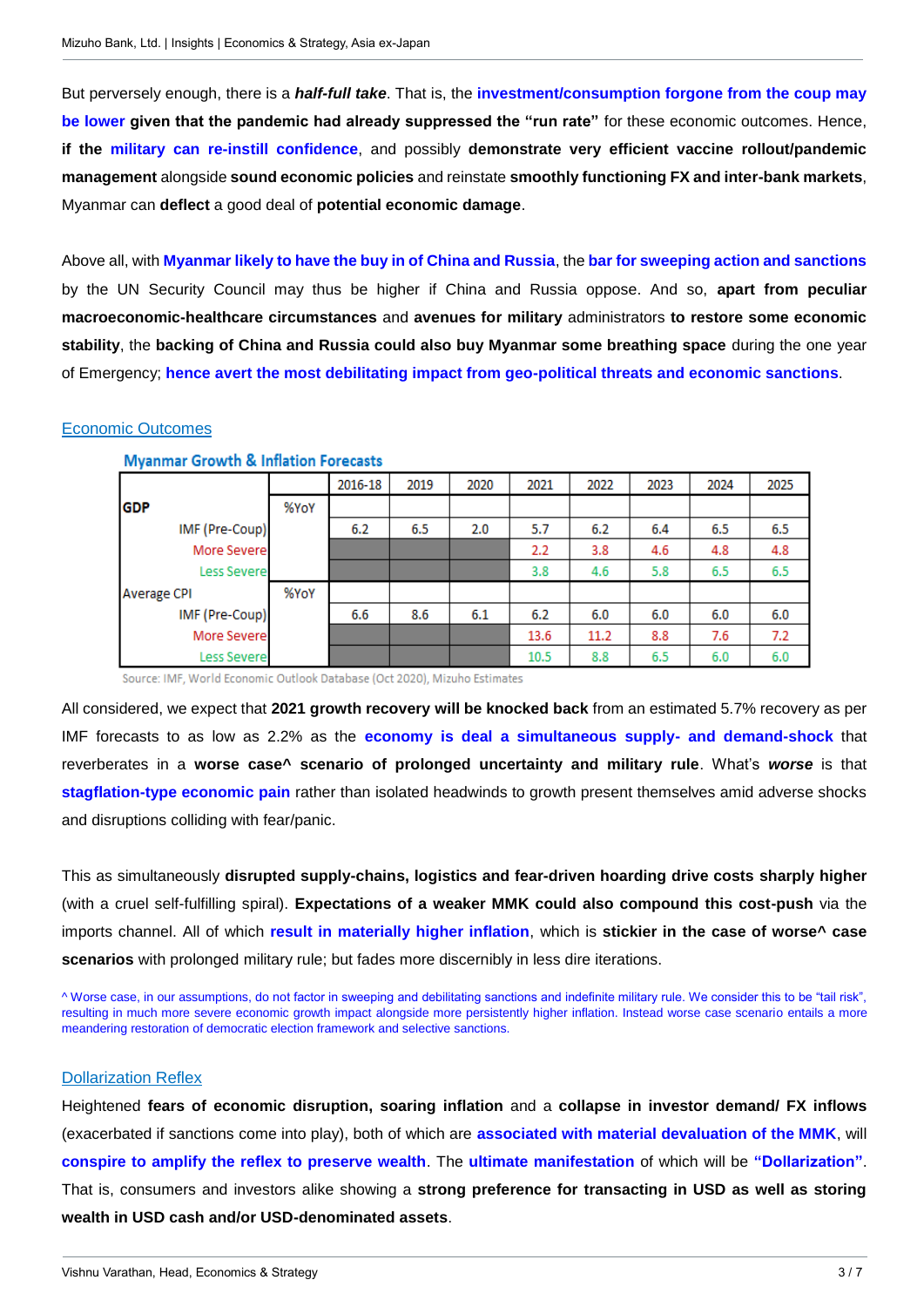But perversely enough, there is a *half-full take*. That is, the **investment/consumption forgone from the coup may be lower given that the pandemic had already suppressed the "run rate"** for these economic outcomes. Hence, **if the military can re-instill confidence**, and possibly **demonstrate very efficient vaccine rollout/pandemic management** alongside **sound economic policies** and reinstate **smoothly functioning FX and inter-bank markets**, Myanmar can **deflect** a good deal of **potential economic damage**.

Above all, with **Myanmar likely to have the buy in of China and Russia**, the **bar for sweeping action and sanctions**  by the UN Security Council may thus be higher if China and Russia oppose. And so, **apart from peculiar macroeconomic-healthcare circumstances** and **avenues for military** administrators **to restore some economic stability**, the **backing of China and Russia could also buy Myanmar some breathing space** during the one year of Emergency; **hence avert the most debilitating impact from geo-political threats and economic sanctions**.

### Economic Outcomes

|                    |      | 2016-18 | 2019 | 2020 | 2021 | 2022 | 2023 | 2024 | 2025 |
|--------------------|------|---------|------|------|------|------|------|------|------|
| <b>GDP</b>         | %YoY |         |      |      |      |      |      |      |      |
| IMF (Pre-Coup)     |      | 6.2     | 6.5  | 2.0  | 5.7  | 6.2  | 6.4  | 6.5  | 6.5  |
| More Severe        |      |         |      |      | 2.2  | 3.8  | 4.6  | 4.8  | 4.8  |
| Less Severe        |      |         |      |      | 3.8  | 4.6  | 5.8  | 6.5  | 6.5  |
| <b>Average CPI</b> | %YoY |         |      |      |      |      |      |      |      |
| IMF (Pre-Coup)     |      | 6.6     | 8.6  | 6.1  | 6.2  | 6.0  | 6.0  | 6.0  | 6.0  |
| More Severe        |      |         |      |      | 13.6 | 11.2 | 8.8  | 7.6  | 7.2  |
| Less Severe        |      |         |      |      | 10.5 | 8.8  | 6.5  | 6.0  | 6.0  |

#### **Myanmar Growth & Inflation Forecasts**

Source: IMF, World Economic Outlook Database (Oct 2020), Mizuho Estimates

All considered, we expect that **2021 growth recovery will be knocked back** from an estimated 5.7% recovery as per IMF forecasts to as low as 2.2% as the **economy is deal a simultaneous supply- and demand-shock** that reverberates in a **worse case^ scenario of prolonged uncertainty and military rule**. What's *worse* is that **stagflation-type economic pain** rather than isolated headwinds to growth present themselves amid adverse shocks and disruptions colliding with fear/panic.

This as simultaneously **disrupted supply-chains, logistics and fear-driven hoarding drive costs sharply higher** (with a cruel self-fulfilling spiral). **Expectations of a weaker MMK could also compound this cost-push** via the imports channel. All of which **result in materially higher inflation**, which is **stickier in the case of worse^ case scenarios** with prolonged military rule; but fades more discernibly in less dire iterations.

^ Worse case, in our assumptions, do not factor in sweeping and debilitating sanctions and indefinite military rule. We consider this to be "tail risk", resulting in much more severe economic growth impact alongside more persistently higher inflation. Instead worse case scenario entails a more meandering restoration of democratic election framework and selective sanctions.

### Dollarization Reflex

Heightened **fears of economic disruption, soaring inflation** and a **collapse in investor demand/ FX inflows** (exacerbated if sanctions come into play), both of which are **associated with material devaluation of the MMK**, will **conspire to amplify the reflex to preserve wealth**. The **ultimate manifestation** of which will be **"Dollarization"**. That is, consumers and investors alike showing a **strong preference for transacting in USD as well as storing wealth in USD cash and/or USD-denominated assets**.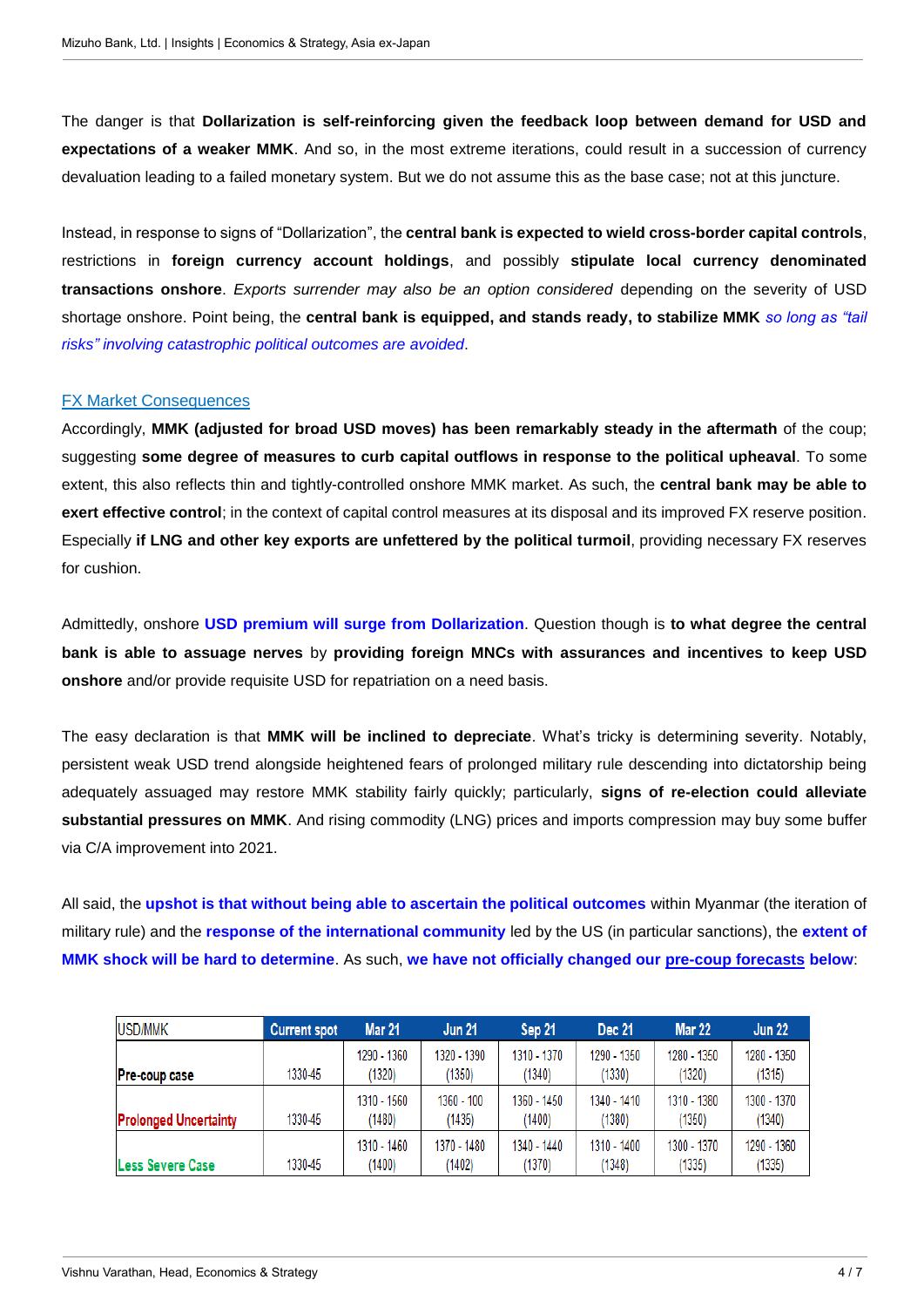The danger is that **Dollarization is self-reinforcing given the feedback loop between demand for USD and expectations of a weaker MMK**. And so, in the most extreme iterations, could result in a succession of currency devaluation leading to a failed monetary system. But we do not assume this as the base case; not at this juncture.

Instead, in response to signs of "Dollarization", the **central bank is expected to wield cross-border capital controls**, restrictions in **foreign currency account holdings**, and possibly **stipulate local currency denominated transactions onshore**. *Exports surrender may also be an option considered* depending on the severity of USD shortage onshore. Point being, the **central bank is equipped, and stands ready, to stabilize MMK** *so long as "tail risks" involving catastrophic political outcomes are avoided*.

### FX Market Consequences

Accordingly, **MMK (adjusted for broad USD moves) has been remarkably steady in the aftermath** of the coup; suggesting **some degree of measures to curb capital outflows in response to the political upheaval**. To some extent, this also reflects thin and tightly-controlled onshore MMK market. As such, the **central bank may be able to exert effective control**; in the context of capital control measures at its disposal and its improved FX reserve position. Especially **if LNG and other key exports are unfettered by the political turmoil**, providing necessary FX reserves for cushion.

Admittedly, onshore **USD premium will surge from Dollarization**. Question though is **to what degree the central bank is able to assuage nerves** by **providing foreign MNCs with assurances and incentives to keep USD onshore** and/or provide requisite USD for repatriation on a need basis.

The easy declaration is that **MMK will be inclined to depreciate**. What's tricky is determining severity. Notably, persistent weak USD trend alongside heightened fears of prolonged military rule descending into dictatorship being adequately assuaged may restore MMK stability fairly quickly; particularly, **signs of re-election could alleviate substantial pressures on MMK**. And rising commodity (LNG) prices and imports compression may buy some buffer via C/A improvement into 2021.

All said, the **upshot is that without being able to ascertain the political outcomes** within Myanmar (the iteration of military rule) and the **response of the international community** led by the US (in particular sanctions), the **extent of MMK shock will be hard to determine**. As such, **we have not officially changed our pre-coup forecasts below**:

| USD/MMK                      | <b>Current spot</b> | <b>Mar 21</b>         | <b>Jun 21</b>          | Sep 21                | <b>Dec 21</b>         | <b>Mar 22</b>         | <b>Jun 22</b>         |
|------------------------------|---------------------|-----------------------|------------------------|-----------------------|-----------------------|-----------------------|-----------------------|
| <b>Pre-coup case</b>         | 1330-45             | 1290 - 1360<br>(1320) | 1320 - 1390<br>(1350)  | 1310 - 1370<br>(1340) | 1290 - 1350<br>(1330) | 1280 - 1350<br>(1320) | 1280 - 1350<br>(1315) |
| <b>Prolonged Uncertainty</b> | 1330-45             | 1310 - 1560<br>(1480) | $1360 - 100$<br>(1435) | 1360 - 1450<br>(1400) | 1340 - 1410<br>(1380) | 1310 - 1380<br>(1350) | 1300 - 1370<br>(1340) |
| <b>Less Severe Case</b>      | 1330-45             | 1310 - 1460<br>(1400) | 1370 - 1480<br>(1402)  | 1340 - 1440<br>(1370) | 1310 - 1400<br>(1348) | 1300 - 1370<br>(1335) | 1290 - 1360<br>(1335) |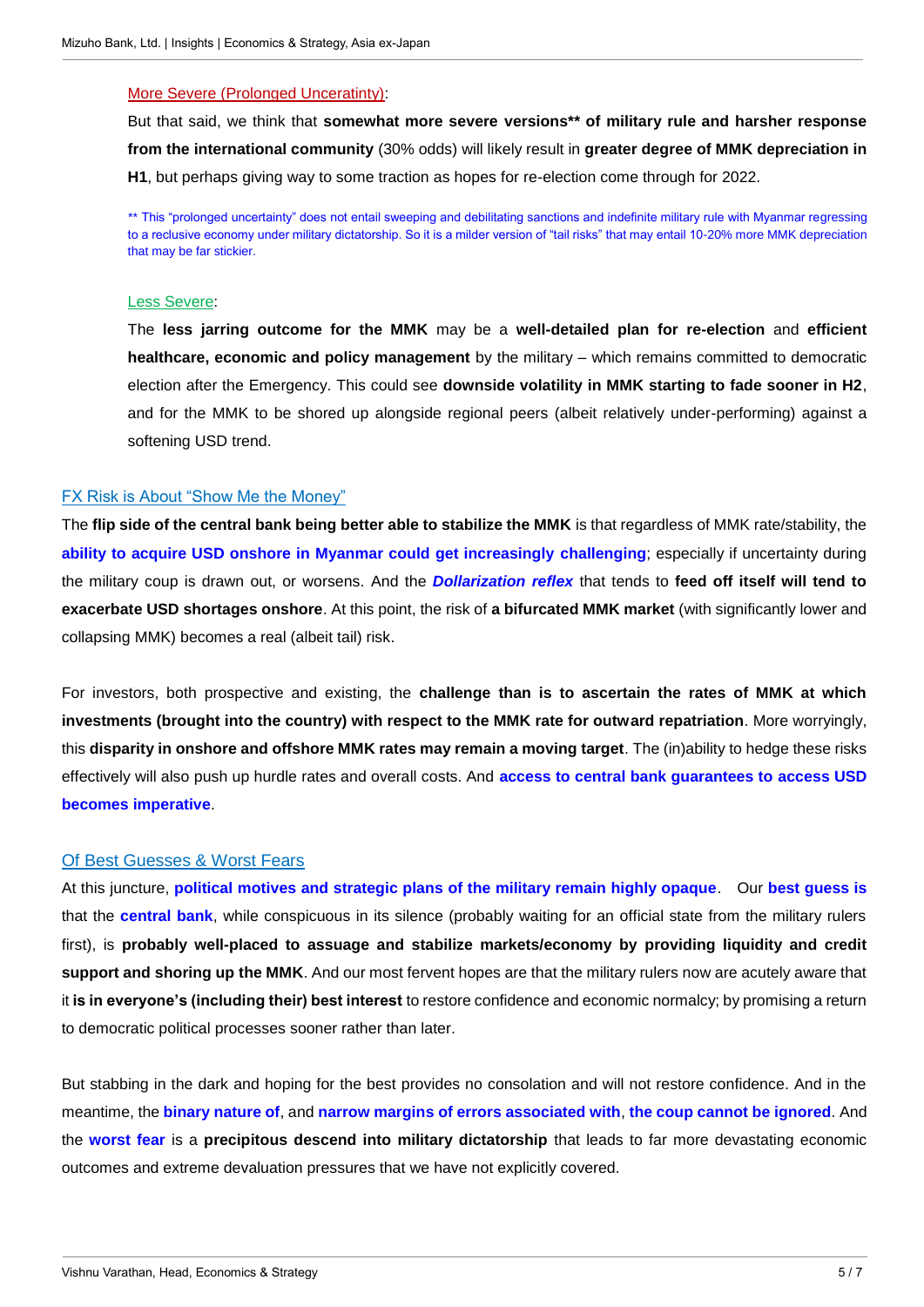#### More Severe (Prolonged Unceratinty):

But that said, we think that **somewhat more severe versions\*\* of military rule and harsher response from the international community** (30% odds) will likely result in **greater degree of MMK depreciation in H1**, but perhaps giving way to some traction as hopes for re-election come through for 2022.

\*\* This "prolonged uncertainty" does not entail sweeping and debilitating sanctions and indefinite military rule with Myanmar regressing to a reclusive economy under military dictatorship. So it is a milder version of "tail risks" that may entail 10-20% more MMK depreciation that may be far stickier.

#### Less Severe:

The **less jarring outcome for the MMK** may be a **well-detailed plan for re-election** and **efficient healthcare, economic and policy management** by the military – which remains committed to democratic election after the Emergency. This could see **downside volatility in MMK starting to fade sooner in H2**, and for the MMK to be shored up alongside regional peers (albeit relatively under-performing) against a softening USD trend.

#### FX Risk is About "Show Me the Money"

The **flip side of the central bank being better able to stabilize the MMK** is that regardless of MMK rate/stability, the **ability to acquire USD onshore in Myanmar could get increasingly challenging**; especially if uncertainty during the military coup is drawn out, or worsens. And the *Dollarization reflex* that tends to **feed off itself will tend to exacerbate USD shortages onshore**. At this point, the risk of **a bifurcated MMK market** (with significantly lower and collapsing MMK) becomes a real (albeit tail) risk.

For investors, both prospective and existing, the **challenge than is to ascertain the rates of MMK at which investments (brought into the country) with respect to the MMK rate for outward repatriation**. More worryingly, this **disparity in onshore and offshore MMK rates may remain a moving target**. The (in)ability to hedge these risks effectively will also push up hurdle rates and overall costs. And **access to central bank guarantees to access USD becomes imperative**.

### Of Best Guesses & Worst Fears

At this juncture, **political motives and strategic plans of the military remain highly opaque**. Our **best guess is** that the **central bank**, while conspicuous in its silence (probably waiting for an official state from the military rulers first), is **probably well-placed to assuage and stabilize markets/economy by providing liquidity and credit support and shoring up the MMK**. And our most fervent hopes are that the military rulers now are acutely aware that it **is in everyone's (including their) best interest** to restore confidence and economic normalcy; by promising a return to democratic political processes sooner rather than later.

But stabbing in the dark and hoping for the best provides no consolation and will not restore confidence. And in the meantime, the **binary nature of**, and **narrow margins of errors associated with**, **the coup cannot be ignored**. And the **worst fear** is a **precipitous descend into military dictatorship** that leads to far more devastating economic outcomes and extreme devaluation pressures that we have not explicitly covered.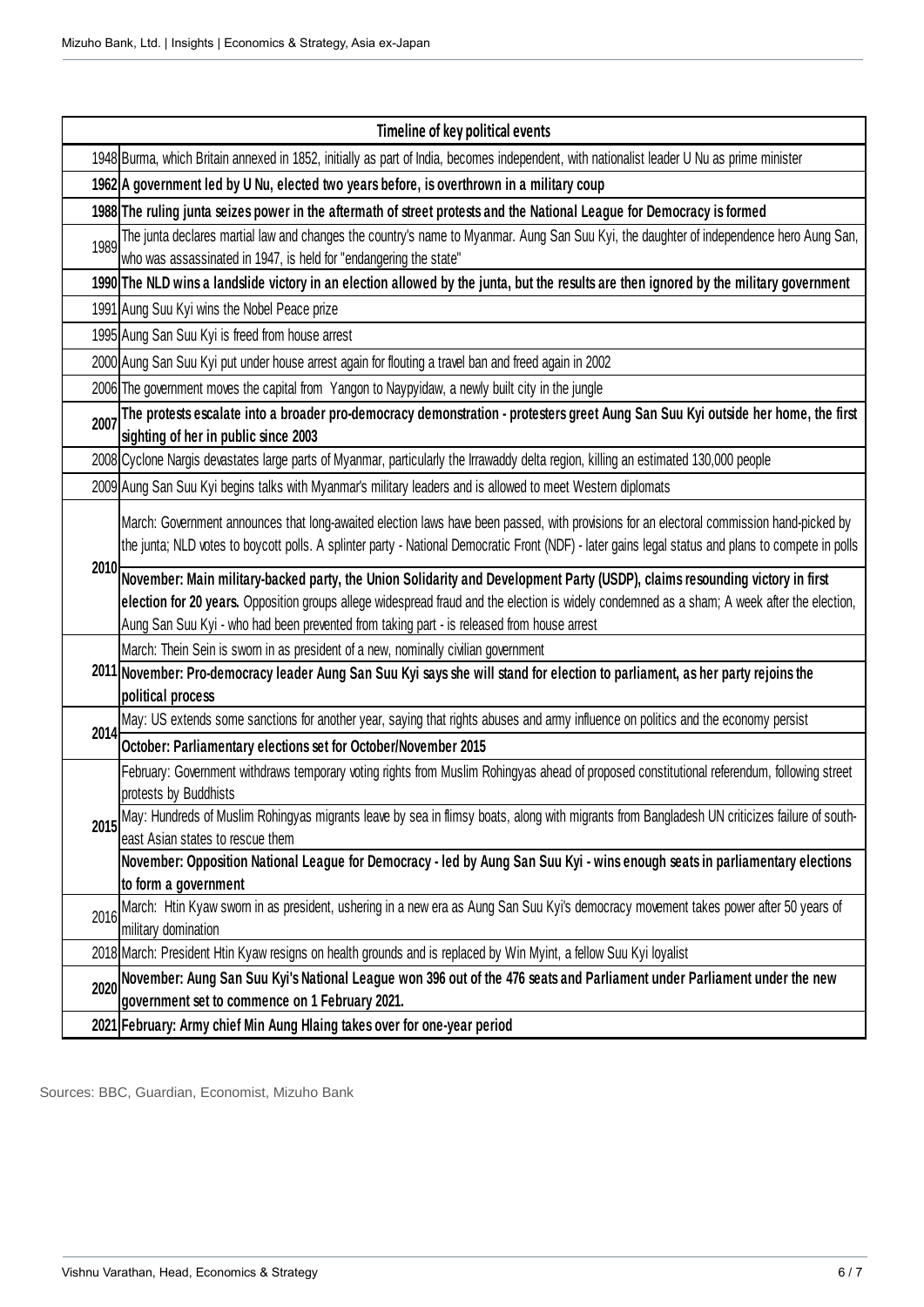|      | Timeline of key political events                                                                                                                                                                                                                                                                                                                                              |  |  |  |  |  |
|------|-------------------------------------------------------------------------------------------------------------------------------------------------------------------------------------------------------------------------------------------------------------------------------------------------------------------------------------------------------------------------------|--|--|--|--|--|
|      | 1948 Burma, which Britain annexed in 1852, initially as part of India, becomes independent, with nationalist leader U Nu as prime minister                                                                                                                                                                                                                                    |  |  |  |  |  |
|      | 1962 A government led by U Nu, elected two years before, is overthrown in a military coup                                                                                                                                                                                                                                                                                     |  |  |  |  |  |
|      | 1988 The ruling junta seizes power in the aftermath of street protests and the National League for Democracy is formed                                                                                                                                                                                                                                                        |  |  |  |  |  |
| 1989 | The junta declares martial law and changes the country's name to Myanmar. Aung San Suu Kyi, the daughter of independence hero Aung San,<br>who was assassinated in 1947, is held for "endangering the state"                                                                                                                                                                  |  |  |  |  |  |
|      | 1990 The NLD wins a landslide victory in an election allowed by the junta, but the results are then ignored by the military government                                                                                                                                                                                                                                        |  |  |  |  |  |
|      | 1991 Aung Suu Kyi wins the Nobel Peace prize                                                                                                                                                                                                                                                                                                                                  |  |  |  |  |  |
|      | 1995 Aung San Suu Kyi is freed from house arrest                                                                                                                                                                                                                                                                                                                              |  |  |  |  |  |
|      | 2000 Aung San Suu Kyi put under house arrest again for flouting a travel ban and freed again in 2002                                                                                                                                                                                                                                                                          |  |  |  |  |  |
|      | 2006 The government moves the capital from Yangon to Naypyidaw, a newly built city in the jungle                                                                                                                                                                                                                                                                              |  |  |  |  |  |
| 2007 | The protests escalate into a broader pro-democracy demonstration - protesters greet Aung San Suu Kyi outside her home, the first<br>sighting of her in public since 2003                                                                                                                                                                                                      |  |  |  |  |  |
|      | 2008 Cyclone Nargis devastates large parts of Myanmar, particularly the Irrawaddy delta region, killing an estimated 130,000 people                                                                                                                                                                                                                                           |  |  |  |  |  |
|      | 2009 Aung San Suu Kyi begins talks with Myanmar's military leaders and is allowed to meet Western diplomats                                                                                                                                                                                                                                                                   |  |  |  |  |  |
|      | March: Government announces that long-awaited election laws have been passed, with provisions for an electoral commission hand-picked by<br>the junta; NLD votes to boycott polls. A splinter party - National Democratic Front (NDF) - later gains legal status and plans to compete in polls                                                                                |  |  |  |  |  |
|      | 2010 November: Main military-backed party, the Union Solidarity and Development Party (USDP), claims resounding victory in first<br>election for 20 years. Opposition groups allege widespread fraud and the election is widely condemned as a sham; A week after the election,<br>Aung San Suu Kyi - who had been prevented from taking part - is released from house arrest |  |  |  |  |  |
|      | March: Thein Sein is sworn in as president of a new, nominally civilian government                                                                                                                                                                                                                                                                                            |  |  |  |  |  |
|      | 2011 November: Pro-democracy leader Aung San Suu Kyi says she will stand for election to parliament, as her party rejoins the<br>political process                                                                                                                                                                                                                            |  |  |  |  |  |
| 2014 | May: US extends some sanctions for another year, saying that rights abuses and army influence on politics and the economy persist                                                                                                                                                                                                                                             |  |  |  |  |  |
|      | October: Parliamentary elections set for October/November 2015                                                                                                                                                                                                                                                                                                                |  |  |  |  |  |
|      | February: Government withdraws temporary voting rights from Muslim Rohingyas ahead of proposed constitutional referendum, following street<br>protests by Buddhists                                                                                                                                                                                                           |  |  |  |  |  |
|      | 2015 May: Hundreds of Muslim Rohingyas migrants leave by sea in flimsy boats, along with migrants from Bangladesh UN criticizes failure of south-<br>east Asian states to rescue them                                                                                                                                                                                         |  |  |  |  |  |
|      | November: Opposition National League for Democracy - led by Aung San Suu Kyi - wins enough seats in parliamentary elections                                                                                                                                                                                                                                                   |  |  |  |  |  |
|      | to form a government                                                                                                                                                                                                                                                                                                                                                          |  |  |  |  |  |
| 2016 | March: Htin Kyaw sworn in as president, ushering in a new era as Aung San Suu Kyi's democracy movement takes power after 50 years of<br>military domination                                                                                                                                                                                                                   |  |  |  |  |  |
|      | 2018 March: President Htin Kyaw resigns on health grounds and is replaced by Win Myint, a fellow Suu Kyi loyalist                                                                                                                                                                                                                                                             |  |  |  |  |  |
| 2020 | November: Aung San Suu Kyi's National League won 396 out of the 476 seats and Parliament under Parliament under the new<br>government set to commence on 1 February 2021.                                                                                                                                                                                                     |  |  |  |  |  |
|      | 2021 February: Army chief Min Aung Hlaing takes over for one-year period                                                                                                                                                                                                                                                                                                      |  |  |  |  |  |

Sources: BBC, Guardian, Economist, Mizuho Bank